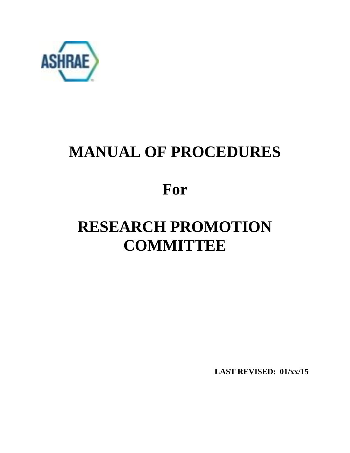

# **MANUAL OF PROCEDURES**

# **For**

# **RESEARCH PROMOTION COMMITTEE**

**LAST REVISED: 01/xx/15**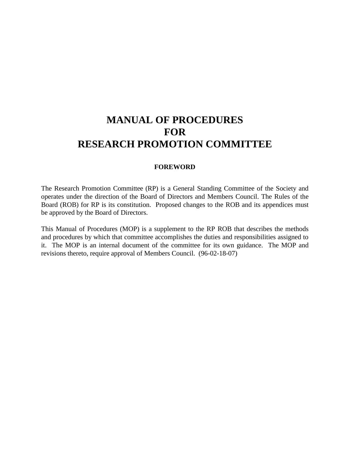# **MANUAL OF PROCEDURES FOR RESEARCH PROMOTION COMMITTEE**

# **FOREWORD**

The Research Promotion Committee (RP) is a General Standing Committee of the Society and operates under the direction of the Board of Directors and Members Council. The Rules of the Board (ROB) for RP is its constitution. Proposed changes to the ROB and its appendices must be approved by the Board of Directors.

This Manual of Procedures (MOP) is a supplement to the RP ROB that describes the methods and procedures by which that committee accomplishes the duties and responsibilities assigned to it. The MOP is an internal document of the committee for its own guidance. The MOP and revisions thereto, require approval of Members Council. (96-02-18-07)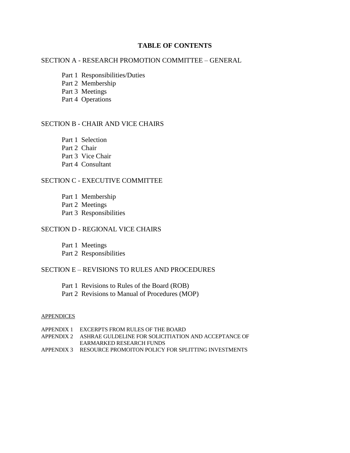# **TABLE OF CONTENTS**

# SECTION A - RESEARCH PROMOTION COMMITTEE – GENERAL

- Part 1 Responsibilities/Duties
- Part 2 Membership
- Part 3 Meetings
- Part 4 Operations

# SECTION B - CHAIR AND VICE CHAIRS

- Part 1 Selection
- Part 2 Chair
- Part 3 Vice Chair
- Part 4 Consultant

# SECTION C - EXECUTIVE COMMITTEE

- Part 1 Membership
- Part 2 Meetings
- Part 3 Responsibilities

# SECTION D - REGIONAL VICE CHAIRS

- Part 1 Meetings
- Part 2 Responsibilities

# SECTION E – REVISIONS TO RULES AND PROCEDURES

- Part 1 Revisions to Rules of the Board (ROB)
- Part 2 Revisions to Manual of Procedures (MOP)

#### **APPENDICES**

| APPENDIX 1 EXCERPTS FROM RULES OF THE BOARD                        |
|--------------------------------------------------------------------|
| APPENDIX 2 ASHRAE GULDELINE FOR SOLICITIATION AND ACCEPTANCE OF    |
| EARMARKED RESEARCH FUNDS                                           |
| APPENDIX 3     RESOURCE PROMOITON POLICY FOR SPLITTING INVESTMENTS |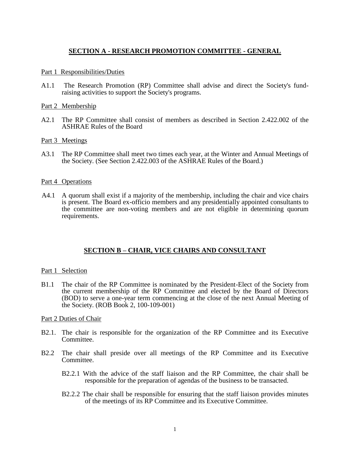# **SECTION A - RESEARCH PROMOTION COMMITTEE - GENERAL**

#### Part 1 Responsibilities/Duties

A1.1 The Research Promotion (RP) Committee shall advise and direct the Society's fundraising activities to support the Society's programs.

### Part 2 Membership

A2.1 The RP Committee shall consist of members as described in Section 2.422.002 of the ASHRAE Rules of the Board

### Part 3 Meetings

A3.1 The RP Committee shall meet two times each year, at the Winter and Annual Meetings of the Society. (See Section 2.422.003 of the ASHRAE Rules of the Board.)

#### Part 4 Operations

A4.1 A quorum shall exist if a majority of the membership, including the chair and vice chairs is present. The Board ex-officio members and any presidentially appointed consultants to the committee are non-voting members and are not eligible in determining quorum requirements.

# **SECTION B – CHAIR, VICE CHAIRS AND CONSULTANT**

#### Part 1 Selection

B1.1 The chair of the RP Committee is nominated by the President-Elect of the Society from the current membership of the RP Committee and elected by the Board of Directors (BOD) to serve a one-year term commencing at the close of the next Annual Meeting of the Society. (ROB Book 2, 100-109-001)

### Part 2 Duties of Chair

- B2.1. The chair is responsible for the organization of the RP Committee and its Executive Committee.
- B2.2 The chair shall preside over all meetings of the RP Committee and its Executive Committee.
	- B2.2.1 With the advice of the staff liaison and the RP Committee, the chair shall be responsible for the preparation of agendas of the business to be transacted.
	- B2.2.2 The chair shall be responsible for ensuring that the staff liaison provides minutes of the meetings of its RP Committee and its Executive Committee.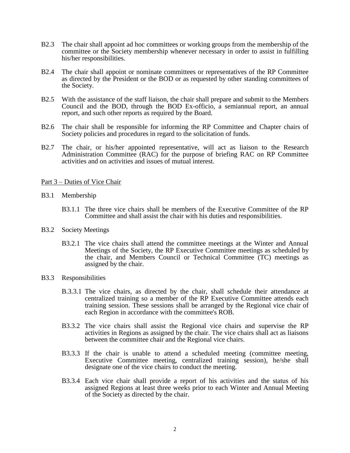- B2.3 The chair shall appoint ad hoc committees or working groups from the membership of the committee or the Society membership whenever necessary in order to assist in fulfilling his/her responsibilities.
- B2.4 The chair shall appoint or nominate committees or representatives of the RP Committee as directed by the President or the BOD or as requested by other standing committees of the Society.
- B2.5 With the assistance of the staff liaison, the chair shall prepare and submit to the Members Council and the BOD, through the BOD Ex-officio, a semiannual report, an annual report, and such other reports as required by the Board.
- B2.6 The chair shall be responsible for informing the RP Committee and Chapter chairs of Society policies and procedures in regard to the solicitation of funds.
- B2.7 The chair, or his/her appointed representative, will act as liaison to the Research Administration Committee (RAC) for the purpose of briefing RAC on RP Committee activities and on activities and issues of mutual interest.

### Part 3 – Duties of Vice Chair

- B3.1 Membership
	- B3.1.1 The three vice chairs shall be members of the Executive Committee of the RP Committee and shall assist the chair with his duties and responsibilities.
- B3.2 Society Meetings
	- B3.2.1 The vice chairs shall attend the committee meetings at the Winter and Annual Meetings of the Society, the RP Executive Committee meetings as scheduled by the chair, and Members Council or Technical Committee (TC) meetings as assigned by the chair.
- B3.3 Responsibilities
	- B.3.3.1 The vice chairs, as directed by the chair, shall schedule their attendance at centralized training so a member of the RP Executive Committee attends each training session. These sessions shall be arranged by the Regional vice chair of each Region in accordance with the committee's ROB.
	- B3.3.2 The vice chairs shall assist the Regional vice chairs and supervise the RP activities in Regions as assigned by the chair. The vice chairs shall act as liaisons between the committee chair and the Regional vice chairs.
	- B3.3.3 If the chair is unable to attend a scheduled meeting (committee meeting, Executive Committee meeting, centralized training session), he/she shall designate one of the vice chairs to conduct the meeting.
	- B3.3.4 Each vice chair shall provide a report of his activities and the status of his assigned Regions at least three weeks prior to each Winter and Annual Meeting of the Society as directed by the chair.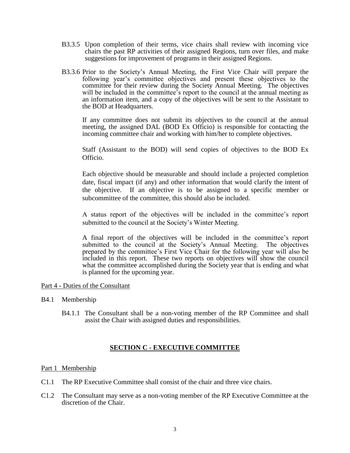- B3.3.5 Upon completion of their terms, vice chairs shall review with incoming vice chairs the past RP activities of their assigned Regions, turn over files, and make suggestions for improvement of programs in their assigned Regions.
- B3.3.6 Prior to the Society's Annual Meeting, the First Vice Chair will prepare the following year's committee objectives and present these objectives to the committee for their review during the Society Annual Meeting. The objectives will be included in the committee's report to the council at the annual meeting as an information item, and a copy of the objectives will be sent to the Assistant to the BOD at Headquarters.

If any committee does not submit its objectives to the council at the annual meeting, the assigned DAL (BOD Ex Officio) is responsible for contacting the incoming committee chair and working with him/her to complete objectives.

Staff (Assistant to the BOD) will send copies of objectives to the BOD Ex Officio.

Each objective should be measurable and should include a projected completion date, fiscal impact (if any) and other information that would clarify the intent of the objective. If an objective is to be assigned to a specific member or subcommittee of the committee, this should also be included.

A status report of the objectives will be included in the committee's report submitted to the council at the Society's Winter Meeting.

A final report of the objectives will be included in the committee's report submitted to the council at the Society's Annual Meeting. The objectives prepared by the committee's First Vice Chair for the following year will also be included in this report. These two reports on objectives will show the council what the committee accomplished during the Society year that is ending and what is planned for the upcoming year.

### Part 4 - Duties of the Consultant

- B4.1 Membership
	- B4.1.1 The Consultant shall be a non-voting member of the RP Committee and shall assist the Chair with assigned duties and responsibilities.

### **SECTION C - EXECUTIVE COMMITTEE**

### Part 1 Membership

- C1.1 The RP Executive Committee shall consist of the chair and three vice chairs.
- C1.2 The Consultant may serve as a non-voting member of the RP Executive Committee at the discretion of the Chair.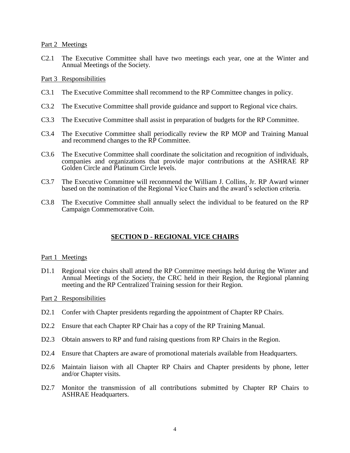#### Part 2 Meetings

C2.1 The Executive Committee shall have two meetings each year, one at the Winter and Annual Meetings of the Society.

#### Part 3 Responsibilities

- C3.1 The Executive Committee shall recommend to the RP Committee changes in policy.
- C3.2 The Executive Committee shall provide guidance and support to Regional vice chairs.
- C3.3 The Executive Committee shall assist in preparation of budgets for the RP Committee.
- C3.4 The Executive Committee shall periodically review the RP MOP and Training Manual and recommend changes to the RP Committee.
- C3.6 The Executive Committee shall coordinate the solicitation and recognition of individuals, companies and organizations that provide major contributions at the ASHRAE RP Golden Circle and Platinum Circle levels.
- C3.7 The Executive Committee will recommend the William J. Collins, Jr. RP Award winner based on the nomination of the Regional Vice Chairs and the award's selection criteria.
- C3.8 The Executive Committee shall annually select the individual to be featured on the RP Campaign Commemorative Coin.

# **SECTION D - REGIONAL VICE CHAIRS**

#### Part 1 Meetings

D1.1 Regional vice chairs shall attend the RP Committee meetings held during the Winter and Annual Meetings of the Society, the CRC held in their Region, the Regional planning meeting and the RP Centralized Training session for their Region.

#### Part 2 Responsibilities

- D2.1 Confer with Chapter presidents regarding the appointment of Chapter RP Chairs.
- D2.2 Ensure that each Chapter RP Chair has a copy of the RP Training Manual.
- D2.3 Obtain answers to RP and fund raising questions from RP Chairs in the Region.
- D2.4 Ensure that Chapters are aware of promotional materials available from Headquarters.
- D2.6 Maintain liaison with all Chapter RP Chairs and Chapter presidents by phone, letter and/or Chapter visits.
- D2.7 Monitor the transmission of all contributions submitted by Chapter RP Chairs to ASHRAE Headquarters.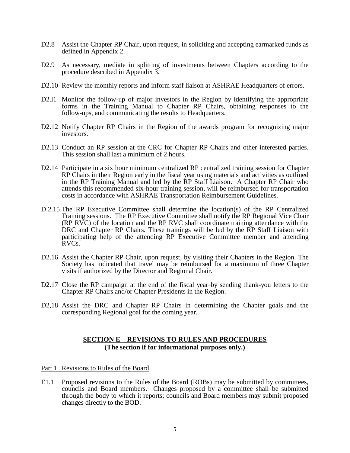- D2.8 Assist the Chapter RP Chair, upon request, in soliciting and accepting earmarked funds as defined in Appendix 2.
- D2.9 As necessary, mediate in splitting of investments between Chapters according to the procedure described in Appendix 3.
- D2.10 Review the monthly reports and inform staff liaison at ASHRAE Headquarters of errors.
- D2.11 Monitor the follow-up of major investors in the Region by identifying the appropriate forms in the Training Manual to Chapter RP Chairs, obtaining responses to the follow-ups, and communicating the results to Headquarters.
- D2.12 Notify Chapter RP Chairs in the Region of the awards program for recognizing major investors.
- D2.13 Conduct an RP session at the CRC for Chapter RP Chairs and other interested parties. This session shall last a minimum of 2 hours.
- D2.14 Participate in a six hour minimum centralized RP centralized training session for Chapter RP Chairs in their Region early in the fiscal year using materials and activities as outlined in the RP Training Manual and led by the RP Staff Liaison. A Chapter RP Chair who attends this recommended six-hour training session, will be reimbursed for transportation costs in accordance with ASHRAE Transportation Reimbursement Guidelines.
- D.2.15 The RP Executive Committee shall determine the location(s) of the RP Centralized Training sessions. The RP Executive Committee shall notify the RP Regional Vice Chair (RP RVC) of the location and the RP RVC shall coordinate training attendance with the DRC and Chapter RP Chairs. These trainings will be led by the RP Staff Liaison with participating help of the attending RP Executive Committee member and attending RVCs.
- D2.16 Assist the Chapter RP Chair, upon request, by visiting their Chapters in the Region. The Society has indicated that travel may be reimbursed for a maximum of three Chapter visits if authorized by the Director and Regional Chair.
- D2.17 Close the RP campaign at the end of the fiscal year-by sending thank-you letters to the Chapter RP Chairs and/or Chapter Presidents in the Region.
- D<sub>2</sub>,18 Assist the DRC and Chapter RP Chairs in determining the Chapter goals and the corresponding Regional goal for the coming year.

# **SECTION E – REVISIONS TO RULES AND PROCEDURES (The section if for informational purposes only.)**

Part 1 Revisions to Rules of the Board

E1.1 Proposed revisions to the Rules of the Board (ROBs) may be submitted by committees, councils and Board members. Changes proposed by a committee shall be submitted through the body to which it reports; councils and Board members may submit proposed changes directly to the BOD.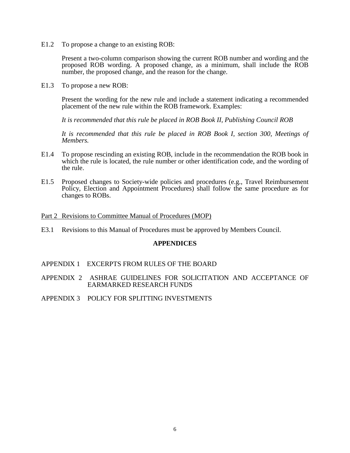E1.2 To propose a change to an existing ROB:

Present a two-column comparison showing the current ROB number and wording and the proposed ROB wording. A proposed change, as a minimum, shall include the ROB number, the proposed change, and the reason for the change.

E1.3 To propose a new ROB:

Present the wording for the new rule and include a statement indicating a recommended placement of the new rule within the ROB framework. Examples:

*It is recommended that this rule be placed in ROB Book II, Publishing Council ROB*

*It is recommended that this rule be placed in ROB Book I, section 300, Meetings of Members.*

- E1.4 To propose rescinding an existing ROB, include in the recommendation the ROB book in which the rule is located, the rule number or other identification code, and the wording of the rule.
- E1.5 Proposed changes to Society-wide policies and procedures (e.g., Travel Reimbursement Policy, Election and Appointment Procedures) shall follow the same procedure as for changes to ROBs.

#### Part 2 Revisions to Committee Manual of Procedures (MOP)

E3.1 Revisions to this Manual of Procedures must be approved by Members Council.

#### **APPENDICES**

- APPENDIX 1 EXCERPTS FROM RULES OF THE BOARD
- APPENDIX 2 ASHRAE GUIDELINES FOR SOLICITATION AND ACCEPTANCE OF EARMARKED RESEARCH FUNDS
- APPENDIX 3 POLICY FOR SPLITTING INVESTMENTS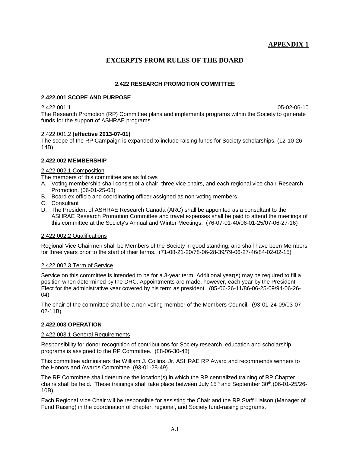# **APPENDIX 1**

# **EXCERPTS FROM RULES OF THE BOARD**

#### **2.422 RESEARCH PROMOTION COMMITTEE**

#### **2.422.001 SCOPE AND PURPOSE**

2.422.001.1 05-02-06-10 The Research Promotion (RP) Committee plans and implements programs within the Society to generate funds for the support of ASHRAE programs.

#### 2.422.001.2 **(effective 2013-07-01)**

The scope of the RP Campaign is expanded to include raising funds for Society scholarships. (12-10-26- 14B)

#### **2.422.002 MEMBERSHIP**

#### 2.422.002.1 Composition

The members of this committee are as follows

- A. Voting membership shall consist of a chair, three vice chairs, and each regional vice chair-Research Promotion. (06-01-25-08)
- B. Board ex officio and coordinating officer assigned as non-voting members
- C. Consultant
- D. The President of ASHRAE Research Canada (ARC) shall be appointed as a consultant to the ASHRAE Research Promotion Committee and travel expenses shall be paid to attend the meetings of this committee at the Society's Annual and Winter Meetings. (76-07-01-40/06-01-25/07-06-27-16)

#### 2.422.002.2 Qualifications

Regional Vice Chairmen shall be Members of the Society in good standing, and shall have been Members for three years prior to the start of their terms. (71-08-21-20/78-06-28-39/79-06-27-46/84-02-02-15)

#### 2.422.002.3 Term of Service

Service on this committee is intended to be for a 3-year term. Additional year(s) may be required to fill a position when determined by the DRC. Appointments are made, however, each year by the President-Elect for the administrative year covered by his term as president. (85-06-26-11/86-06-25-09/94-06-26- 04)

The chair of the committee shall be a non-voting member of the Members Council. (93-01-24-09/03-07- 02-11B)

#### **2.422.003 OPERATION**

#### 2.422.003.1 General Requirements

Responsibility for donor recognition of contributions for Society research, education and scholarship programs is assigned to the RP Committee. (88-06-30-48)

This committee administers the William J. Collins, Jr. ASHRAE RP Award and recommends winners to the Honors and Awards Committee. (93-01-28-49)

The RP Committee shall determine the location(s) in which the RP centralized training of RP Chapter chairs shall be held. These trainings shall take place between July 15<sup>th</sup> and September 30<sup>th</sup>.(06-01-25/26-10B)

Each Regional Vice Chair will be responsible for assisting the Chair and the RP Staff Liaison (Manager of Fund Raising) in the coordination of chapter, regional, and Society fund-raising programs.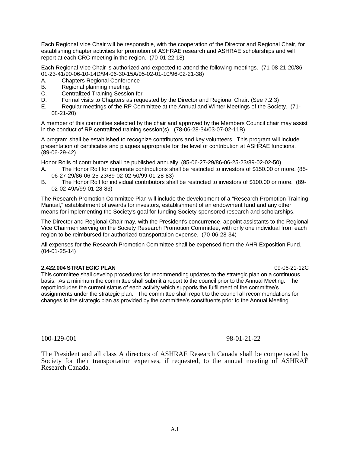Each Regional Vice Chair will be responsible, with the cooperation of the Director and Regional Chair, for establishing chapter activities for promotion of ASHRAE research and ASHRAE scholarships and will report at each CRC meeting in the region. (70-01-22-18)

Each Regional Vice Chair is authorized and expected to attend the following meetings. (71-08-21-20/86- 01-23-41/90-06-10-14D/94-06-30-15A/95-02-01-10/96-02-21-38)

- A. Chapters Regional Conference
- B. Regional planning meeting.
- C. Centralized Training Session for
- D. Formal visits to Chapters as requested by the Director and Regional Chair. (See 7.2.3)
- E. Regular meetings of the RP Committee at the Annual and Winter Meetings of the Society. (71- 08-21-20)

A member of this committee selected by the chair and approved by the Members Council chair may assist in the conduct of RP centralized training session(s). (78-06-28-34/03-07-02-11B)

A program shall be established to recognize contributors and key volunteers. This program will include presentation of certificates and plaques appropriate for the level of contribution at ASHRAE functions. (89-06-29-42)

Honor Rolls of contributors shall be published annually. (85-06-27-29/86-06-25-23/89-02-02-50)

- A. The Honor Roll for corporate contributions shall be restricted to investors of \$150.00 or more. (85- 06-27-29/86-06-25-23/89-02-02-50/99-01-28-83)
- B. The Honor Roll for individual contributors shall be restricted to investors of \$100.00 or more. (89- 02-02-49A/99-01-28-83)

The Research Promotion Committee Plan will include the development of a "Research Promotion Training Manual," establishment of awards for investors, establishment of an endowment fund and any other means for implementing the Society's goal for funding Society-sponsored research and scholarships.

The Director and Regional Chair may, with the President's concurrence, appoint assistants to the Regional Vice Chairmen serving on the Society Research Promotion Committee, with only one individual from each region to be reimbursed for authorized transportation expense. (70-06-28-34)

All expenses for the Research Promotion Committee shall be expensed from the AHR Exposition Fund. (04-01-25-14)

#### **2.422.004 STRATEGIC PLAN** 09-06-21-12C

This committee shall develop procedures for recommending updates to the strategic plan on a continuous basis. As a minimum the committee shall submit a report to the council prior to the Annual Meeting. The report includes the current status of each activity which supports the fulfillment of the committee's assignments under the strategic plan. The committee shall report to the council all recommendations for changes to the strategic plan as provided by the committee's constituents prior to the Annual Meeting.

100-129-001 98-01-21-22

The President and all class A directors of ASHRAE Research Canada shall be compensated by Society for their transportation expenses, if requested, to the annual meeting of ASHRAE Research Canada.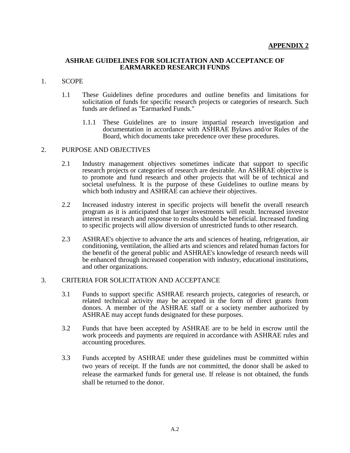### **ASHRAE GUIDELINES FOR SOLICITATION AND ACCEPTANCE OF EARMARKED RESEARCH FUNDS**

### 1. SCOPE

- 1.1 These Guidelines define procedures and outline benefits and limitations for solicitation of funds for specific research projects or categories of research. Such funds are defined as "Earmarked Funds."
	- 1.1.1 These Guidelines are to insure impartial research investigation and documentation in accordance with ASHRAE Bylaws and/or Rules of the Board, which documents take precedence over these procedures.

### 2. PURPOSE AND OBJECTIVES

- 2.1 Industry management objectives sometimes indicate that support to specific research projects or categories of research are desirable. An ASHRAE objective is to promote and fund research and other projects that will be of technical and societal usefulness. It is the purpose of these Guidelines to outline means by which both industry and ASHRAE can achieve their objectives.
- 2.2 Increased industry interest in specific projects will benefit the overall research program as it is anticipated that larger investments will result. Increased investor interest in research and response to results should be beneficial. Increased funding to specific projects will allow diversion of unrestricted funds to other research.
- 2.3 ASHRAE's objective to advance the arts and sciences of heating, refrigeration, air conditioning, ventilation, the allied arts and sciences and related human factors for the benefit of the general public and ASHRAE's knowledge of research needs will be enhanced through increased cooperation with industry, educational institutions, and other organizations.

# 3. CRITERIA FOR SOLICITATION AND ACCEPTANCE

- 3.1 Funds to support specific ASHRAE research projects, categories of research, or related technical activity may be accepted in the form of direct grants from donors. A member of the ASHRAE staff or a society member authorized by ASHRAE may accept funds designated for these purposes.
- 3.2 Funds that have been accepted by ASHRAE are to be held in escrow until the work proceeds and payments are required in accordance with ASHRAE rules and accounting procedures.
- 3.3 Funds accepted by ASHRAE under these guidelines must be committed within two years of receipt. If the funds are not committed, the donor shall be asked to release the earmarked funds for general use. If release is not obtained, the funds shall be returned to the donor.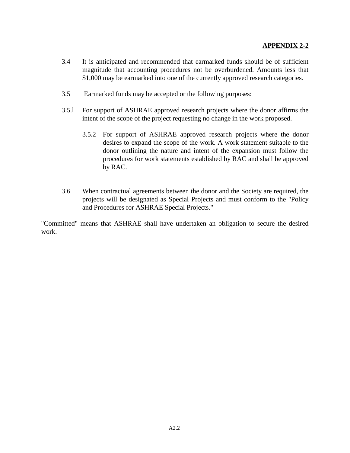- 3.4 It is anticipated and recommended that earmarked funds should be of sufficient magnitude that accounting procedures not be overburdened. Amounts less that \$1,000 may be earmarked into one of the currently approved research categories.
- 3.5 Earmarked funds may be accepted or the following purposes:
- 3.5.l For support of ASHRAE approved research projects where the donor affirms the intent of the scope of the project requesting no change in the work proposed.
	- 3.5.2 For support of ASHRAE approved research projects where the donor desires to expand the scope of the work. A work statement suitable to the donor outlining the nature and intent of the expansion must follow the procedures for work statements established by RAC and shall be approved by RAC.
- 3.6 When contractual agreements between the donor and the Society are required, the projects will be designated as Special Projects and must conform to the "Policy and Procedures for ASHRAE Special Projects."

"Committed" means that ASHRAE shall have undertaken an obligation to secure the desired work.